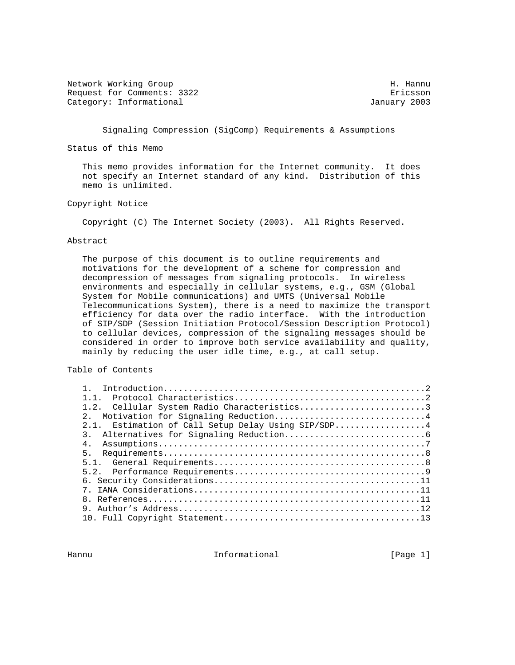Network Working Group Network Months and Manual Methods and Manual Methods and Manual Methods and Manual Methods and Manual Methods and Manual Methods and Manual Methods and Manual Methods and Manual Methods and Manual Met Request for Comments: 3322 Ericsson Category: Informational and Category: Informational and Category: Informational

Signaling Compression (SigComp) Requirements & Assumptions

Status of this Memo

 This memo provides information for the Internet community. It does not specify an Internet standard of any kind. Distribution of this memo is unlimited.

# Copyright Notice

Copyright (C) The Internet Society (2003). All Rights Reserved.

#### Abstract

 The purpose of this document is to outline requirements and motivations for the development of a scheme for compression and decompression of messages from signaling protocols. In wireless environments and especially in cellular systems, e.g., GSM (Global System for Mobile communications) and UMTS (Universal Mobile Telecommunications System), there is a need to maximize the transport efficiency for data over the radio interface. With the introduction of SIP/SDP (Session Initiation Protocol/Session Description Protocol) to cellular devices, compression of the signaling messages should be considered in order to improve both service availability and quality, mainly by reducing the user idle time, e.g., at call setup.

# Table of Contents

| 1 1                                                |  |
|----------------------------------------------------|--|
| 1.2. Cellular System Radio Characteristics3        |  |
| 2. Motivation for Signaling Reduction4             |  |
| 2.1. Estimation of Call Setup Delay Using SIP/SDP4 |  |
|                                                    |  |
| 4.                                                 |  |
| 5 <sub>1</sub>                                     |  |
|                                                    |  |
|                                                    |  |
|                                                    |  |
|                                                    |  |
|                                                    |  |
|                                                    |  |
|                                                    |  |

Hannu **Informational Informational Informational** [Page 1]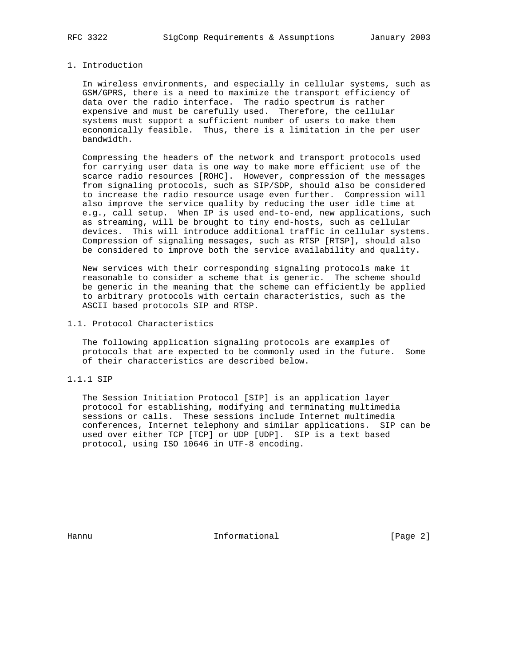# 1. Introduction

 In wireless environments, and especially in cellular systems, such as GSM/GPRS, there is a need to maximize the transport efficiency of data over the radio interface. The radio spectrum is rather expensive and must be carefully used. Therefore, the cellular systems must support a sufficient number of users to make them economically feasible. Thus, there is a limitation in the per user bandwidth.

 Compressing the headers of the network and transport protocols used for carrying user data is one way to make more efficient use of the scarce radio resources [ROHC]. However, compression of the messages from signaling protocols, such as SIP/SDP, should also be considered to increase the radio resource usage even further. Compression will also improve the service quality by reducing the user idle time at e.g., call setup. When IP is used end-to-end, new applications, such as streaming, will be brought to tiny end-hosts, such as cellular devices. This will introduce additional traffic in cellular systems. Compression of signaling messages, such as RTSP [RTSP], should also be considered to improve both the service availability and quality.

 New services with their corresponding signaling protocols make it reasonable to consider a scheme that is generic. The scheme should be generic in the meaning that the scheme can efficiently be applied to arbitrary protocols with certain characteristics, such as the ASCII based protocols SIP and RTSP.

1.1. Protocol Characteristics

 The following application signaling protocols are examples of protocols that are expected to be commonly used in the future. Some of their characteristics are described below.

1.1.1 SIP

 The Session Initiation Protocol [SIP] is an application layer protocol for establishing, modifying and terminating multimedia sessions or calls. These sessions include Internet multimedia conferences, Internet telephony and similar applications. SIP can be used over either TCP [TCP] or UDP [UDP]. SIP is a text based protocol, using ISO 10646 in UTF-8 encoding.

Hannu **Informational Informational Informational Example 1**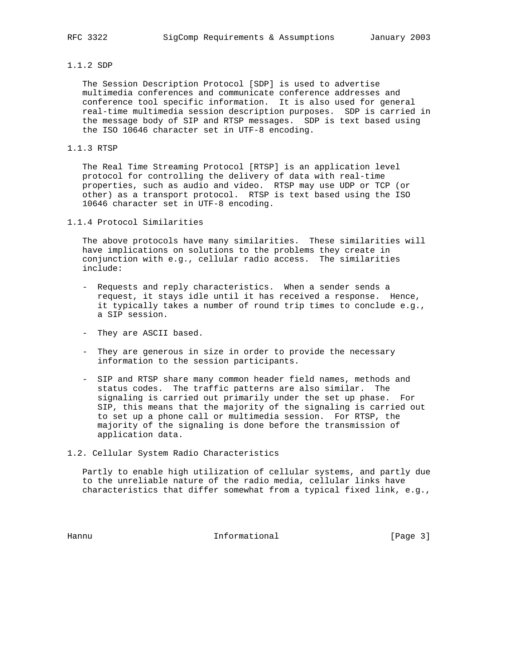## 1.1.2 SDP

 The Session Description Protocol [SDP] is used to advertise multimedia conferences and communicate conference addresses and conference tool specific information. It is also used for general real-time multimedia session description purposes. SDP is carried in the message body of SIP and RTSP messages. SDP is text based using the ISO 10646 character set in UTF-8 encoding.

#### 1.1.3 RTSP

 The Real Time Streaming Protocol [RTSP] is an application level protocol for controlling the delivery of data with real-time properties, such as audio and video. RTSP may use UDP or TCP (or other) as a transport protocol. RTSP is text based using the ISO 10646 character set in UTF-8 encoding.

1.1.4 Protocol Similarities

 The above protocols have many similarities. These similarities will have implications on solutions to the problems they create in conjunction with e.g., cellular radio access. The similarities include:

- Requests and reply characteristics. When a sender sends a request, it stays idle until it has received a response. Hence, it typically takes a number of round trip times to conclude e.g., a SIP session.
- They are ASCII based.
- They are generous in size in order to provide the necessary information to the session participants.
- SIP and RTSP share many common header field names, methods and status codes. The traffic patterns are also similar. The signaling is carried out primarily under the set up phase. For SIP, this means that the majority of the signaling is carried out to set up a phone call or multimedia session. For RTSP, the majority of the signaling is done before the transmission of application data.
- 1.2. Cellular System Radio Characteristics

 Partly to enable high utilization of cellular systems, and partly due to the unreliable nature of the radio media, cellular links have characteristics that differ somewhat from a typical fixed link, e.g.,

Hannu **Informational Informational** [Page 3]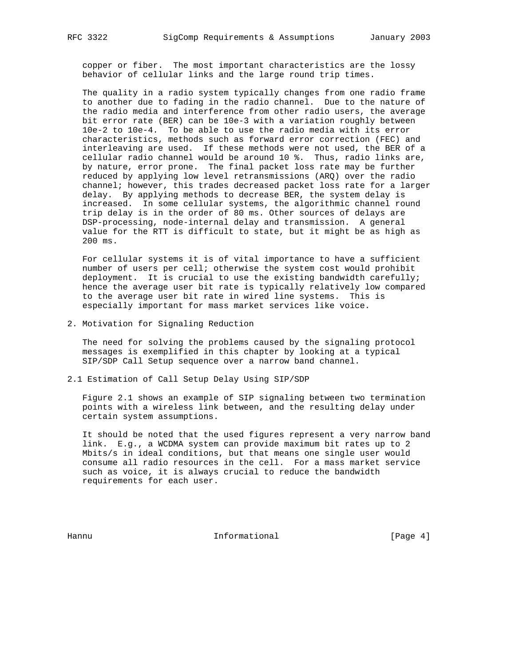copper or fiber. The most important characteristics are the lossy behavior of cellular links and the large round trip times.

 The quality in a radio system typically changes from one radio frame to another due to fading in the radio channel. Due to the nature of the radio media and interference from other radio users, the average bit error rate (BER) can be 10e-3 with a variation roughly between 10e-2 to 10e-4. To be able to use the radio media with its error characteristics, methods such as forward error correction (FEC) and interleaving are used. If these methods were not used, the BER of a cellular radio channel would be around 10 %. Thus, radio links are, by nature, error prone. The final packet loss rate may be further reduced by applying low level retransmissions (ARQ) over the radio channel; however, this trades decreased packet loss rate for a larger delay. By applying methods to decrease BER, the system delay is increased. In some cellular systems, the algorithmic channel round trip delay is in the order of 80 ms. Other sources of delays are DSP-processing, node-internal delay and transmission. A general value for the RTT is difficult to state, but it might be as high as 200 ms.

 For cellular systems it is of vital importance to have a sufficient number of users per cell; otherwise the system cost would prohibit deployment. It is crucial to use the existing bandwidth carefully; hence the average user bit rate is typically relatively low compared to the average user bit rate in wired line systems. This is especially important for mass market services like voice.

2. Motivation for Signaling Reduction

 The need for solving the problems caused by the signaling protocol messages is exemplified in this chapter by looking at a typical SIP/SDP Call Setup sequence over a narrow band channel.

2.1 Estimation of Call Setup Delay Using SIP/SDP

 Figure 2.1 shows an example of SIP signaling between two termination points with a wireless link between, and the resulting delay under certain system assumptions.

 It should be noted that the used figures represent a very narrow band link. E.g., a WCDMA system can provide maximum bit rates up to 2 Mbits/s in ideal conditions, but that means one single user would consume all radio resources in the cell. For a mass market service such as voice, it is always crucial to reduce the bandwidth requirements for each user.

Hannu **Informational Informational Informational I**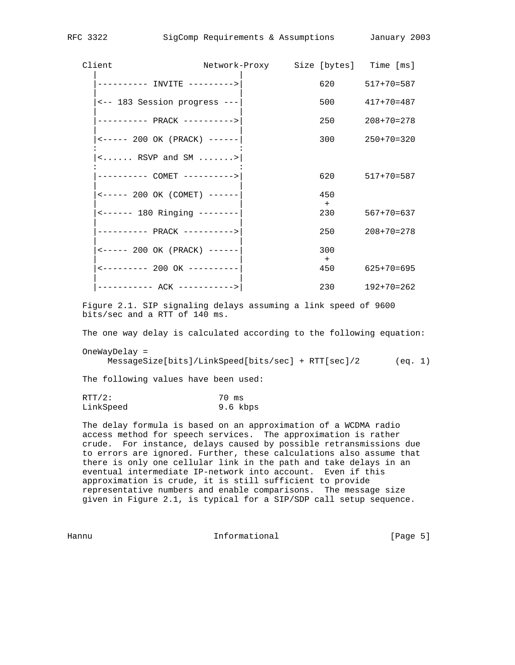| Client                                                                     | Network-Proxy Size [bytes] Time [ms] |                  |                    |
|----------------------------------------------------------------------------|--------------------------------------|------------------|--------------------|
| ---------- INVITE --------->                                               |                                      |                  | 620 517+70=587     |
| <-- 183 Session progress ---                                               |                                      |                  | $500$ $417+70=487$ |
| ---------- PRACK ---------->                                               |                                      | 250              | $208 + 70 = 278$   |
| $\leftarrow \leftarrow \leftarrow -200 \text{ OK}$ (PRACK) $---$           |                                      |                  | $300$ $250+70=320$ |
| $\langle \ldots \ldots$ RSVP and SM $\ldots \ldots \rangle$                |                                      |                  |                    |
| ---------- COMET ---------->                                               |                                      |                  | 620 517+70=587     |
| $\leftarrow \leftarrow \leftarrow -200 \text{ OK}$ (COMET) $---$           |                                      | 450              |                    |
| <------ 180 Ringing --------                                               |                                      | $+$              | 230 567+70=637     |
| ---------- PRACK ---------->                                               |                                      | 250              | $208 + 70 = 278$   |
| $\leftarrow \leftarrow \leftarrow \leftarrow 200 \text{ OK}$ (PRACK) $---$ |                                      | 300              |                    |
| $\leftarrow$ -------- 200 OK ----------                                    |                                      | $+$<br>450 — 150 | $625+70=695$       |
| ----------- ACK ----------->                                               |                                      | 230              | $192 + 70 = 262$   |

 Figure 2.1. SIP signaling delays assuming a link speed of 9600 bits/sec and a RTT of 140 ms.

The one way delay is calculated according to the following equation:

 OneWayDelay = MessageSize[bits]/LinkSpeed[bits/sec] + RTT[sec]/2 (eq. 1)

The following values have been used:

 $RTT/2$ : 70 ms LinkSpeed 9.6 kbps

 The delay formula is based on an approximation of a WCDMA radio access method for speech services. The approximation is rather crude. For instance, delays caused by possible retransmissions due to errors are ignored. Further, these calculations also assume that there is only one cellular link in the path and take delays in an eventual intermediate IP-network into account. Even if this approximation is crude, it is still sufficient to provide representative numbers and enable comparisons. The message size given in Figure 2.1, is typical for a SIP/SDP call setup sequence.

Hannu **Informational Informational Informational** [Page 5]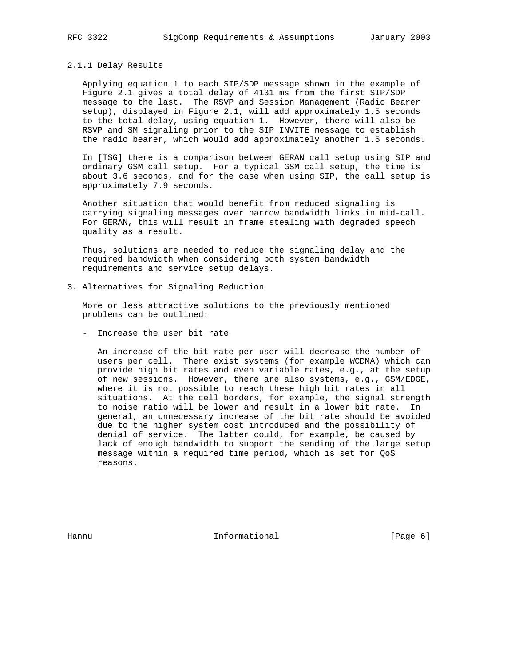#### 2.1.1 Delay Results

 Applying equation 1 to each SIP/SDP message shown in the example of Figure 2.1 gives a total delay of 4131 ms from the first SIP/SDP message to the last. The RSVP and Session Management (Radio Bearer setup), displayed in Figure 2.1, will add approximately 1.5 seconds to the total delay, using equation 1. However, there will also be RSVP and SM signaling prior to the SIP INVITE message to establish the radio bearer, which would add approximately another 1.5 seconds.

 In [TSG] there is a comparison between GERAN call setup using SIP and ordinary GSM call setup. For a typical GSM call setup, the time is about 3.6 seconds, and for the case when using SIP, the call setup is approximately 7.9 seconds.

 Another situation that would benefit from reduced signaling is carrying signaling messages over narrow bandwidth links in mid-call. For GERAN, this will result in frame stealing with degraded speech quality as a result.

 Thus, solutions are needed to reduce the signaling delay and the required bandwidth when considering both system bandwidth requirements and service setup delays.

3. Alternatives for Signaling Reduction

 More or less attractive solutions to the previously mentioned problems can be outlined:

- Increase the user bit rate

 An increase of the bit rate per user will decrease the number of users per cell. There exist systems (for example WCDMA) which can provide high bit rates and even variable rates, e.g., at the setup of new sessions. However, there are also systems, e.g., GSM/EDGE, where it is not possible to reach these high bit rates in all situations. At the cell borders, for example, the signal strength to noise ratio will be lower and result in a lower bit rate. In general, an unnecessary increase of the bit rate should be avoided due to the higher system cost introduced and the possibility of denial of service. The latter could, for example, be caused by lack of enough bandwidth to support the sending of the large setup message within a required time period, which is set for QoS reasons.

Hannu **Informational Informational** [Page 6]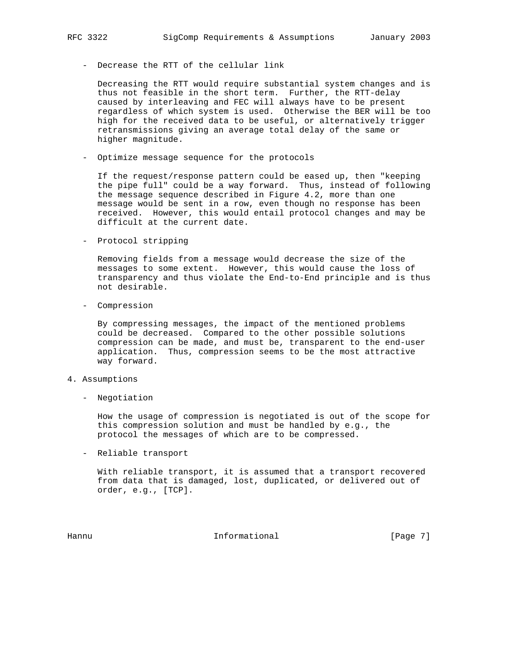- Decrease the RTT of the cellular link

 Decreasing the RTT would require substantial system changes and is thus not feasible in the short term. Further, the RTT-delay caused by interleaving and FEC will always have to be present regardless of which system is used. Otherwise the BER will be too high for the received data to be useful, or alternatively trigger retransmissions giving an average total delay of the same or higher magnitude.

- Optimize message sequence for the protocols

 If the request/response pattern could be eased up, then "keeping the pipe full" could be a way forward. Thus, instead of following the message sequence described in Figure 4.2, more than one message would be sent in a row, even though no response has been received. However, this would entail protocol changes and may be difficult at the current date.

- Protocol stripping

 Removing fields from a message would decrease the size of the messages to some extent. However, this would cause the loss of transparency and thus violate the End-to-End principle and is thus not desirable.

- Compression

 By compressing messages, the impact of the mentioned problems could be decreased. Compared to the other possible solutions compression can be made, and must be, transparent to the end-user application. Thus, compression seems to be the most attractive way forward.

- 4. Assumptions
	- Negotiation

 How the usage of compression is negotiated is out of the scope for this compression solution and must be handled by e.g., the protocol the messages of which are to be compressed.

- Reliable transport

 With reliable transport, it is assumed that a transport recovered from data that is damaged, lost, duplicated, or delivered out of order, e.g., [TCP].

Hannu **Informational Informational Informational** [Page 7]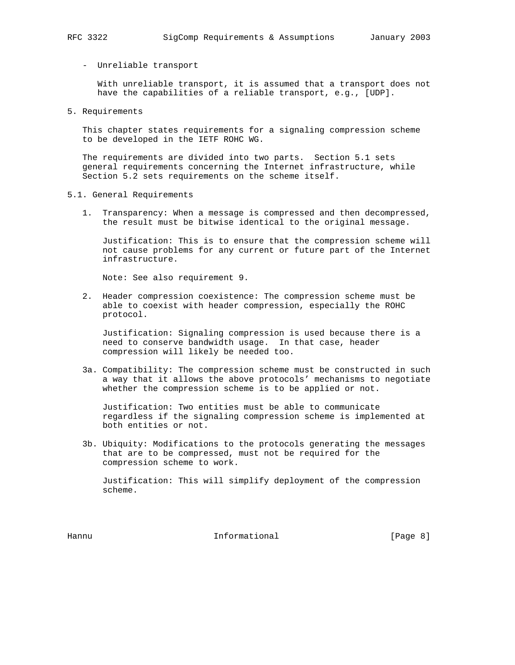#### - Unreliable transport

 With unreliable transport, it is assumed that a transport does not have the capabilities of a reliable transport, e.g., [UDP].

5. Requirements

 This chapter states requirements for a signaling compression scheme to be developed in the IETF ROHC WG.

 The requirements are divided into two parts. Section 5.1 sets general requirements concerning the Internet infrastructure, while Section 5.2 sets requirements on the scheme itself.

- 5.1. General Requirements
	- 1. Transparency: When a message is compressed and then decompressed, the result must be bitwise identical to the original message.

 Justification: This is to ensure that the compression scheme will not cause problems for any current or future part of the Internet infrastructure.

Note: See also requirement 9.

 2. Header compression coexistence: The compression scheme must be able to coexist with header compression, especially the ROHC protocol.

 Justification: Signaling compression is used because there is a need to conserve bandwidth usage. In that case, header compression will likely be needed too.

 3a. Compatibility: The compression scheme must be constructed in such a way that it allows the above protocols' mechanisms to negotiate whether the compression scheme is to be applied or not.

 Justification: Two entities must be able to communicate regardless if the signaling compression scheme is implemented at both entities or not.

 3b. Ubiquity: Modifications to the protocols generating the messages that are to be compressed, must not be required for the compression scheme to work.

 Justification: This will simplify deployment of the compression scheme.

Hannu **Informational Informational Informational Example 1 Page 8 I**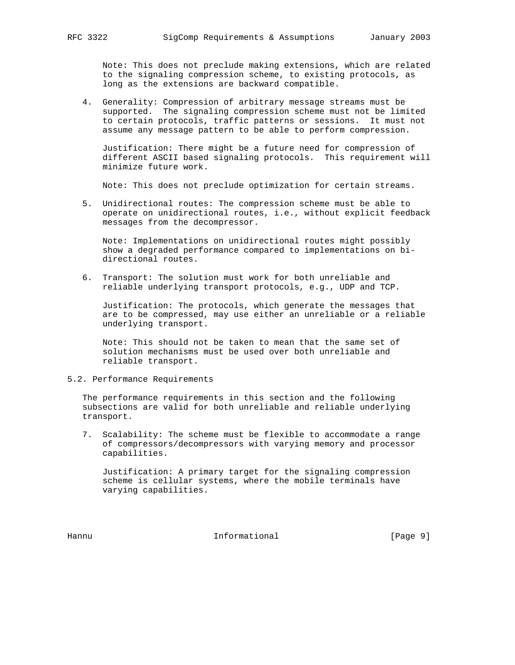Note: This does not preclude making extensions, which are related to the signaling compression scheme, to existing protocols, as long as the extensions are backward compatible.

 4. Generality: Compression of arbitrary message streams must be supported. The signaling compression scheme must not be limited to certain protocols, traffic patterns or sessions. It must not assume any message pattern to be able to perform compression.

 Justification: There might be a future need for compression of different ASCII based signaling protocols. This requirement will minimize future work.

Note: This does not preclude optimization for certain streams.

 5. Unidirectional routes: The compression scheme must be able to operate on unidirectional routes, i.e., without explicit feedback messages from the decompressor.

 Note: Implementations on unidirectional routes might possibly show a degraded performance compared to implementations on bi directional routes.

 6. Transport: The solution must work for both unreliable and reliable underlying transport protocols, e.g., UDP and TCP.

 Justification: The protocols, which generate the messages that are to be compressed, may use either an unreliable or a reliable underlying transport.

 Note: This should not be taken to mean that the same set of solution mechanisms must be used over both unreliable and reliable transport.

# 5.2. Performance Requirements

 The performance requirements in this section and the following subsections are valid for both unreliable and reliable underlying transport.

 7. Scalability: The scheme must be flexible to accommodate a range of compressors/decompressors with varying memory and processor capabilities.

 Justification: A primary target for the signaling compression scheme is cellular systems, where the mobile terminals have varying capabilities.

Hannu **Informational Informational Example 1** [Page 9]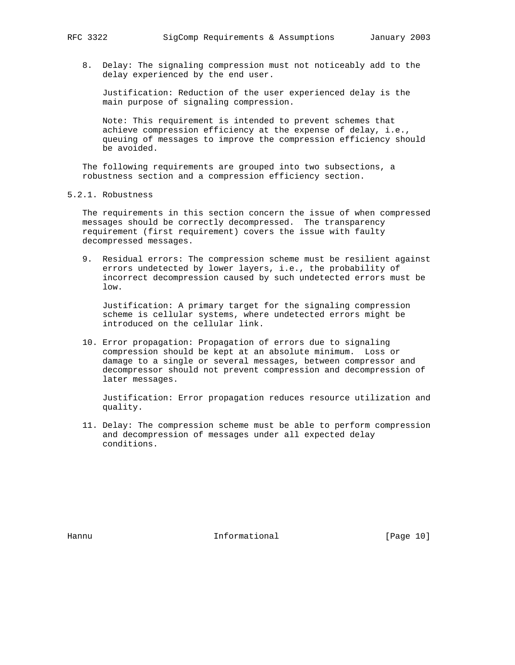8. Delay: The signaling compression must not noticeably add to the delay experienced by the end user.

 Justification: Reduction of the user experienced delay is the main purpose of signaling compression.

 Note: This requirement is intended to prevent schemes that achieve compression efficiency at the expense of delay, i.e., queuing of messages to improve the compression efficiency should be avoided.

 The following requirements are grouped into two subsections, a robustness section and a compression efficiency section.

5.2.1. Robustness

 The requirements in this section concern the issue of when compressed messages should be correctly decompressed. The transparency requirement (first requirement) covers the issue with faulty decompressed messages.

 9. Residual errors: The compression scheme must be resilient against errors undetected by lower layers, i.e., the probability of incorrect decompression caused by such undetected errors must be low.

 Justification: A primary target for the signaling compression scheme is cellular systems, where undetected errors might be introduced on the cellular link.

 10. Error propagation: Propagation of errors due to signaling compression should be kept at an absolute minimum. Loss or damage to a single or several messages, between compressor and decompressor should not prevent compression and decompression of later messages.

 Justification: Error propagation reduces resource utilization and quality.

 11. Delay: The compression scheme must be able to perform compression and decompression of messages under all expected delay conditions.

Hannu **Informational Informational** [Page 10]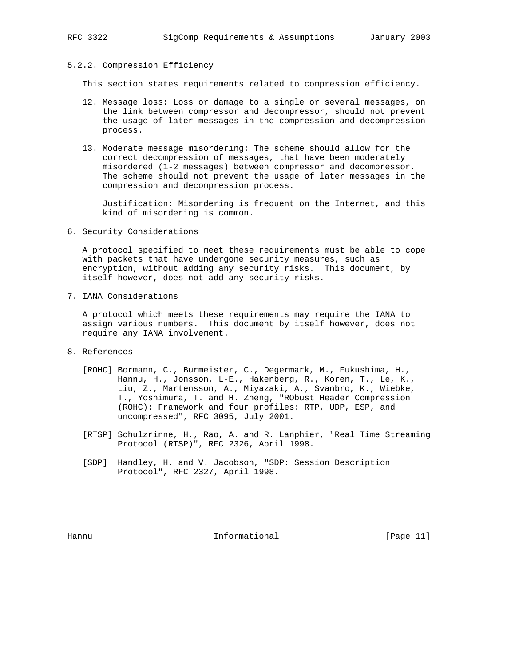#### 5.2.2. Compression Efficiency

This section states requirements related to compression efficiency.

- 12. Message loss: Loss or damage to a single or several messages, on the link between compressor and decompressor, should not prevent the usage of later messages in the compression and decompression process.
- 13. Moderate message misordering: The scheme should allow for the correct decompression of messages, that have been moderately misordered (1-2 messages) between compressor and decompressor. The scheme should not prevent the usage of later messages in the compression and decompression process.

 Justification: Misordering is frequent on the Internet, and this kind of misordering is common.

6. Security Considerations

 A protocol specified to meet these requirements must be able to cope with packets that have undergone security measures, such as encryption, without adding any security risks. This document, by itself however, does not add any security risks.

7. IANA Considerations

 A protocol which meets these requirements may require the IANA to assign various numbers. This document by itself however, does not require any IANA involvement.

- 8. References
	- [ROHC] Bormann, C., Burmeister, C., Degermark, M., Fukushima, H., Hannu, H., Jonsson, L-E., Hakenberg, R., Koren, T., Le, K., Liu, Z., Martensson, A., Miyazaki, A., Svanbro, K., Wiebke, T., Yoshimura, T. and H. Zheng, "RObust Header Compression (ROHC): Framework and four profiles: RTP, UDP, ESP, and uncompressed", RFC 3095, July 2001.
	- [RTSP] Schulzrinne, H., Rao, A. and R. Lanphier, "Real Time Streaming Protocol (RTSP)", RFC 2326, April 1998.
	- [SDP] Handley, H. and V. Jacobson, "SDP: Session Description Protocol", RFC 2327, April 1998.

Hannu **Informational Informational** [Page 11]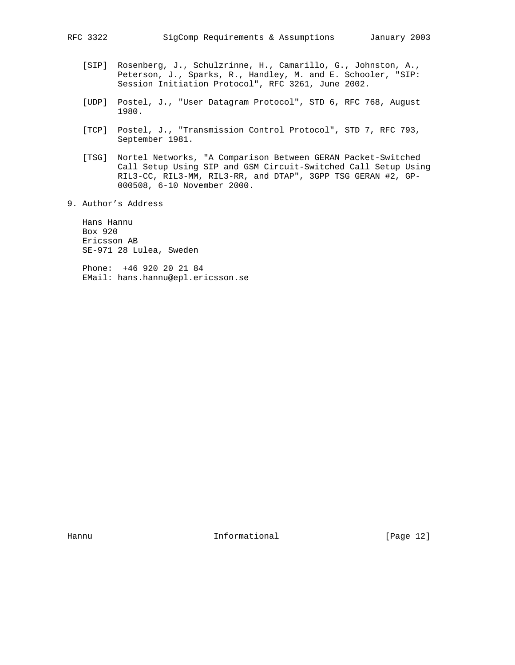- [SIP] Rosenberg, J., Schulzrinne, H., Camarillo, G., Johnston, A., Peterson, J., Sparks, R., Handley, M. and E. Schooler, "SIP: Session Initiation Protocol", RFC 3261, June 2002.
- [UDP] Postel, J., "User Datagram Protocol", STD 6, RFC 768, August 1980.
- [TCP] Postel, J., "Transmission Control Protocol", STD 7, RFC 793, September 1981.
- [TSG] Nortel Networks, "A Comparison Between GERAN Packet-Switched Call Setup Using SIP and GSM Circuit-Switched Call Setup Using RIL3-CC, RIL3-MM, RIL3-RR, and DTAP", 3GPP TSG GERAN #2, GP- 000508, 6-10 November 2000.
- 9. Author's Address

 Hans Hannu Box 920 Ericsson AB SE-971 28 Lulea, Sweden

 Phone: +46 920 20 21 84 EMail: hans.hannu@epl.ericsson.se

Hannu **Informational Informational** [Page 12]